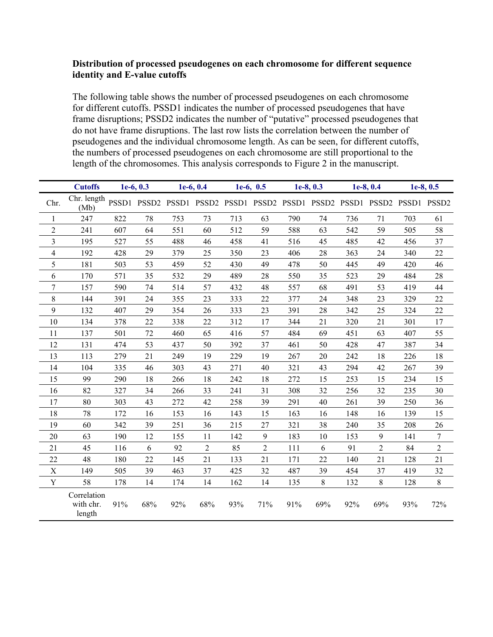#### **Distribution of processed pseudogenes on each chromosome for different sequence identity and E-value cutoffs**

The following table shows the number of processed pseudogenes on each chromosome for different cutoffs. PSSD1 indicates the number of processed pseudogenes that have frame disruptions; PSSD2 indicates the number of "putative" processed pseudogenes that do not have frame disruptions. The last row lists the correlation between the number of pseudogenes and the individual chromosome length. As can be seen, for different cutoffs, the numbers of processed pseudogenes on each chromosome are still proportional to the length of the chromosomes. This analysis corresponds to Figure 2 in the manuscript.

|                | <b>Cutoffs</b><br>$1e-6, 0.3$      |     | $1e-6, 0.4$ |     | $1e-6, 0.5$    |     | $1e-8, 0.3$                                                             |     | $1e-8, 0.4$ |     | $1e-8, 0.5$ |     |     |
|----------------|------------------------------------|-----|-------------|-----|----------------|-----|-------------------------------------------------------------------------|-----|-------------|-----|-------------|-----|-----|
| Chr.           | Chr. length<br>(Mb)                |     |             |     |                |     | PSSD1 PSSD2 PSSD1 PSSD2 PSSD1 PSSD2 PSSD1 PSSD2 PSSD1 PSSD2 PSSD1 PSSD2 |     |             |     |             |     |     |
| 1              | 247                                | 822 | 78          | 753 | 73             | 713 | 63                                                                      | 790 | 74          | 736 | 71          | 703 | 61  |
| $\overline{2}$ | 241                                | 607 | 64          | 551 | 60             | 512 | 59                                                                      | 588 | 63          | 542 | 59          | 505 | 58  |
| 3              | 195                                | 527 | 55          | 488 | 46             | 458 | 41                                                                      | 516 | 45          | 485 | 42          | 456 | 37  |
| $\overline{4}$ | 192                                | 428 | 29          | 379 | 25             | 350 | 23                                                                      | 406 | 28          | 363 | 24          | 340 | 22  |
| 5              | 181                                | 503 | 53          | 459 | 52             | 430 | 49                                                                      | 478 | 50          | 445 | 49          | 420 | 46  |
| 6              | 170                                | 571 | 35          | 532 | 29             | 489 | 28                                                                      | 550 | 35          | 523 | 29          | 484 | 28  |
| $\tau$         | 157                                | 590 | 74          | 514 | 57             | 432 | 48                                                                      | 557 | 68          | 491 | 53          | 419 | 44  |
| $8\,$          | 144                                | 391 | 24          | 355 | 23             | 333 | 22                                                                      | 377 | 24          | 348 | 23          | 329 | 22  |
| 9              | 132                                | 407 | 29          | 354 | 26             | 333 | 23                                                                      | 391 | 28          | 342 | 25          | 324 | 22  |
| 10             | 134                                | 378 | 22          | 338 | 22             | 312 | 17                                                                      | 344 | 21          | 320 | 21          | 301 | 17  |
| 11             | 137                                | 501 | 72          | 460 | 65             | 416 | 57                                                                      | 484 | 69          | 451 | 63          | 407 | 55  |
| 12             | 131                                | 474 | 53          | 437 | 50             | 392 | 37                                                                      | 461 | 50          | 428 | 47          | 387 | 34  |
| 13             | 113                                | 279 | 21          | 249 | 19             | 229 | 19                                                                      | 267 | 20          | 242 | 18          | 226 | 18  |
| 14             | 104                                | 335 | 46          | 303 | 43             | 271 | 40                                                                      | 321 | 43          | 294 | 42          | 267 | 39  |
| 15             | 99                                 | 290 | 18          | 266 | 18             | 242 | 18                                                                      | 272 | 15          | 253 | 15          | 234 | 15  |
| 16             | 82                                 | 327 | 34          | 266 | 33             | 241 | 31                                                                      | 308 | 32          | 256 | 32          | 235 | 30  |
| 17             | 80                                 | 303 | 43          | 272 | 42             | 258 | 39                                                                      | 291 | 40          | 261 | 39          | 250 | 36  |
| 18             | 78                                 | 172 | 16          | 153 | 16             | 143 | 15                                                                      | 163 | 16          | 148 | 16          | 139 | 15  |
| 19             | 60                                 | 342 | 39          | 251 | 36             | 215 | 27                                                                      | 321 | 38          | 240 | 35          | 208 | 26  |
| 20             | 63                                 | 190 | 12          | 155 | 11             | 142 | 9                                                                       | 183 | 10          | 153 | 9           | 141 | 7   |
| 21             | 45                                 | 116 | 6           | 92  | $\overline{2}$ | 85  | $\overline{2}$                                                          | 111 | 6           | 91  | 2           | 84  | 2   |
| 22             | 48                                 | 180 | 22          | 145 | 21             | 133 | 21                                                                      | 171 | 22          | 140 | 21          | 128 | 21  |
| $\mathbf X$    | 149                                | 505 | 39          | 463 | 37             | 425 | 32                                                                      | 487 | 39          | 454 | 37          | 419 | 32  |
| Y              | 58                                 | 178 | 14          | 174 | 14             | 162 | 14                                                                      | 135 | 8           | 132 | $\,$ 8 $\,$ | 128 | 8   |
|                | Correlation<br>with chr.<br>length | 91% | 68%         | 92% | 68%            | 93% | 71%                                                                     | 91% | 69%         | 92% | 69%         | 93% | 72% |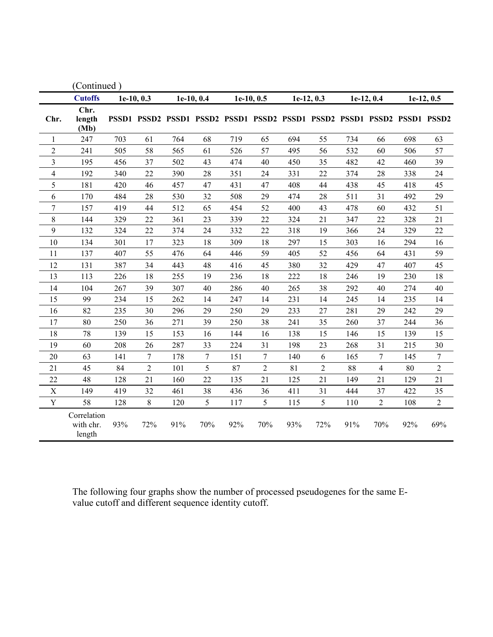| (Continued)    |                                    |            |     |              |        |            |                |            |                |            |                                                                         |            |                |
|----------------|------------------------------------|------------|-----|--------------|--------|------------|----------------|------------|----------------|------------|-------------------------------------------------------------------------|------------|----------------|
|                | <b>Cutoffs</b>                     | 1e-10, 0.3 |     | $1e-10, 0.4$ |        | 1e-10, 0.5 |                | 1e-12, 0.3 |                | 1e-12, 0.4 |                                                                         | 1e-12, 0.5 |                |
| Chr.           | Chr.<br>length<br>(Mb)             |            |     |              |        |            |                |            |                |            | PSSD1 PSSD2 PSSD1 PSSD2 PSSD1 PSSD2 PSSD1 PSSD2 PSSD1 PSSD2 PSSD1 PSSD2 |            |                |
| 1              | 247                                | 703        | 61  | 764          | 68     | 719        | 65             | 694        | 55             | 734        | 66                                                                      | 698        | 63             |
| $\overline{2}$ | 241                                | 505        | 58  | 565          | 61     | 526        | 57             | 495        | 56             | 532        | 60                                                                      | 506        | 57             |
| 3              | 195                                | 456        | 37  | 502          | 43     | 474        | 40             | 450        | 35             | 482        | 42                                                                      | 460        | 39             |
| $\overline{4}$ | 192                                | 340        | 22  | 390          | 28     | 351        | 24             | 331        | 22             | 374        | 28                                                                      | 338        | 24             |
| 5              | 181                                | 420        | 46  | 457          | 47     | 431        | 47             | 408        | 44             | 438        | 45                                                                      | 418        | 45             |
| 6              | 170                                | 484        | 28  | 530          | 32     | 508        | 29             | 474        | 28             | 511        | 31                                                                      | 492        | 29             |
| $\overline{7}$ | 157                                | 419        | 44  | 512          | 65     | 454        | 52             | 400        | 43             | 478        | 60                                                                      | 432        | 51             |
| $\,$ 8 $\,$    | 144                                | 329        | 22  | 361          | 23     | 339        | 22             | 324        | 21             | 347        | 22                                                                      | 328        | 21             |
| 9              | 132                                | 324        | 22  | 374          | 24     | 332        | 22             | 318        | 19             | 366        | 24                                                                      | 329        | 22             |
| 10             | 134                                | 301        | 17  | 323          | 18     | 309        | 18             | 297        | 15             | 303        | 16                                                                      | 294        | 16             |
| 11             | 137                                | 407        | 55  | 476          | 64     | 446        | 59             | 405        | 52             | 456        | 64                                                                      | 431        | 59             |
| 12             | 131                                | 387        | 34  | 443          | 48     | 416        | 45             | 380        | 32             | 429        | 47                                                                      | 407        | 45             |
| 13             | 113                                | 226        | 18  | 255          | 19     | 236        | 18             | 222        | 18             | 246        | 19                                                                      | 230        | 18             |
| 14             | 104                                | 267        | 39  | 307          | 40     | 286        | 40             | 265        | 38             | 292        | 40                                                                      | 274        | 40             |
| 15             | 99                                 | 234        | 15  | 262          | 14     | 247        | 14             | 231        | 14             | 245        | 14                                                                      | 235        | 14             |
| 16             | 82                                 | 235        | 30  | 296          | 29     | 250        | 29             | 233        | 27             | 281        | 29                                                                      | 242        | 29             |
| 17             | 80                                 | 250        | 36  | 271          | 39     | 250        | 38             | 241        | 35             | 260        | 37                                                                      | 244        | 36             |
| 18             | 78                                 | 139        | 15  | 153          | 16     | 144        | 16             | 138        | 15             | 146        | 15                                                                      | 139        | 15             |
| 19             | 60                                 | 208        | 26  | 287          | 33     | 224        | 31             | 198        | 23             | 268        | 31                                                                      | 215        | 30             |
| 20             | 63                                 | 141        | 7   | 178          | $\tau$ | 151        | $\overline{7}$ | 140        | 6              | 165        | 7                                                                       | 145        | 7              |
| 21             | 45                                 | 84         | 2   | 101          | 5      | 87         | $\overline{2}$ | 81         | $\overline{2}$ | 88         | 4                                                                       | 80         | $\overline{2}$ |
| 22             | 48                                 | 128        | 21  | 160          | 22     | 135        | 21             | 125        | 21             | 149        | 21                                                                      | 129        | 21             |
| X              | 149                                | 419        | 32  | 461          | 38     | 436        | 36             | 411        | 31             | 444        | 37                                                                      | 422        | 35             |
| Y              | 58                                 | 128        | 8   | 120          | 5      | 117        | 5              | 115        | 5              | 110        | $\overline{2}$                                                          | 108        | $\overline{2}$ |
|                | Correlation<br>with chr.<br>length | 93%        | 72% | 91%          | 70%    | 92%        | 70%            | 93%        | 72%            | 91%        | 70%                                                                     | 92%        | 69%            |

The following four graphs show the number of processed pseudogenes for the same Evalue cutoff and different sequence identity cutoff.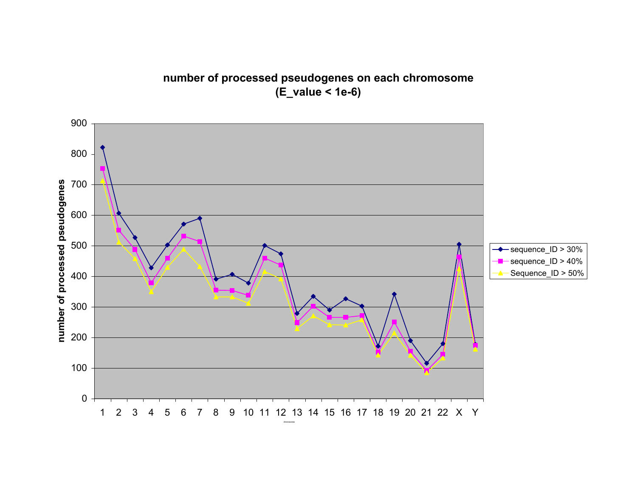# **number of processed pseudogenes on each chromosome (E\_value < 1e-6)**

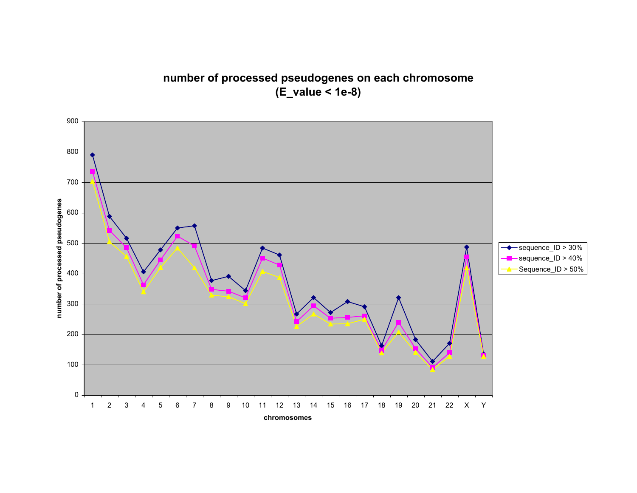# **number of processed pseudogenes on each chromosome (E\_value < 1e-8)**

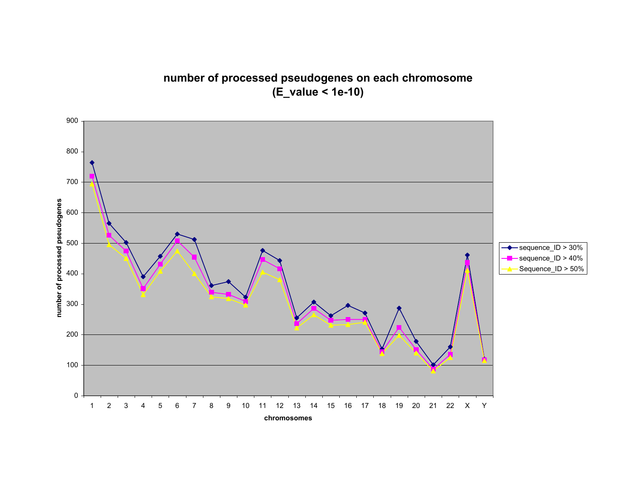**number of processed pseudogenes on each chromosome (E\_value < 1e-10)**

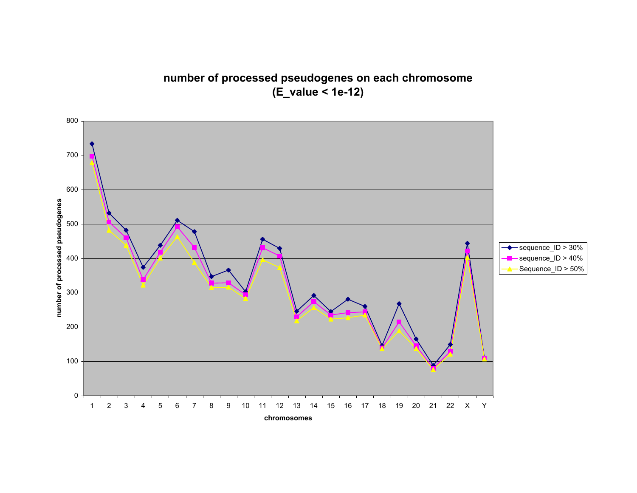**number of processed pseudogenes on each chromosome (E\_value < 1e-12)**

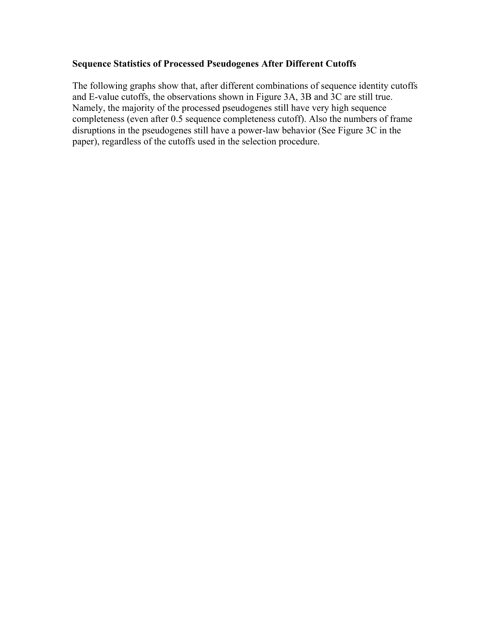#### **Sequence Statistics of Processed Pseudogenes After Different Cutoffs**

The following graphs show that, after different combinations of sequence identity cutoffs and E-value cutoffs, the observations shown in Figure 3A, 3B and 3C are still true. Namely, the majority of the processed pseudogenes still have very high sequence completeness (even after 0.5 sequence completeness cutoff). Also the numbers of frame disruptions in the pseudogenes still have a power-law behavior (See Figure 3C in the paper), regardless of the cutoffs used in the selection procedure.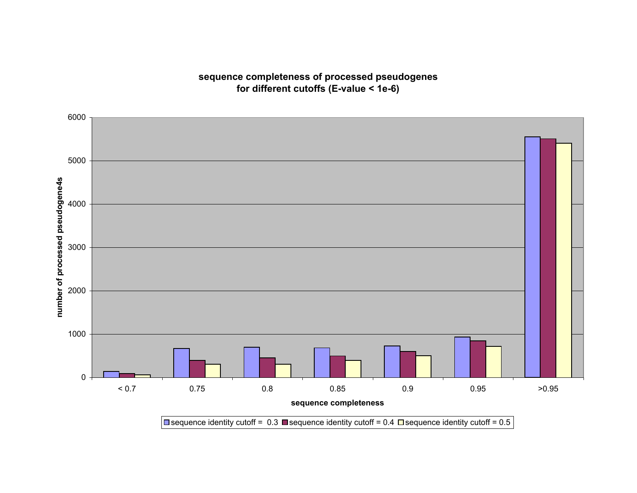## **sequence completeness of processed pseudogenes for different cutoffs (E-value < 1e-6)**

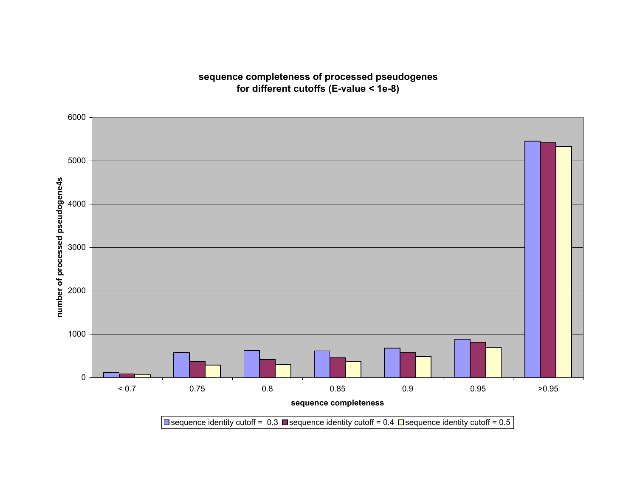## **sequence completeness of processed pseudogenes for different cutoffs (E-value < 1e-8)**

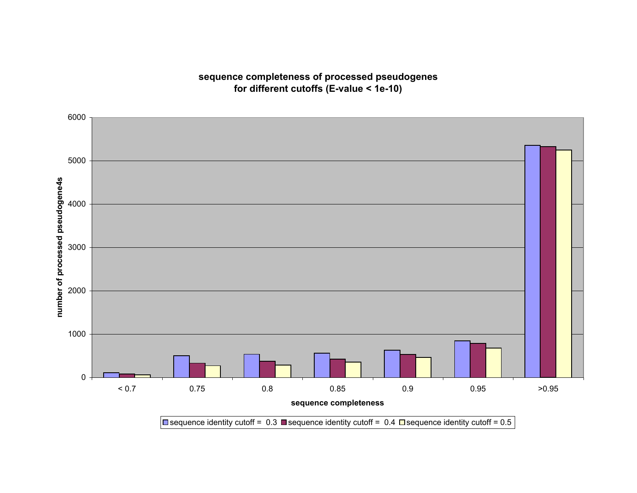### **sequence completeness of processed pseudogenes for different cutoffs (E-value < 1e-10)**

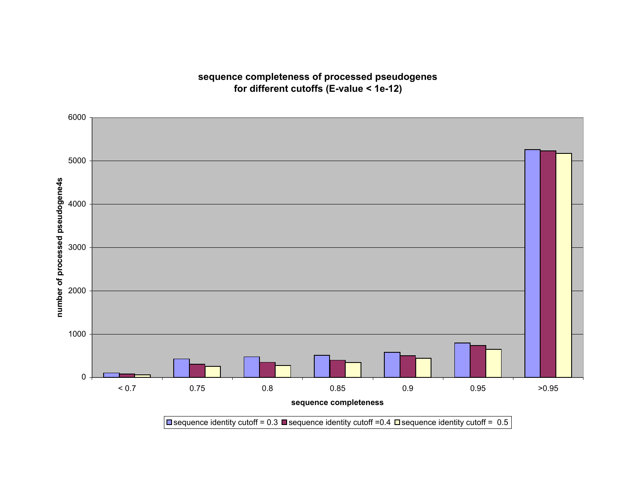### **sequence completeness of processed pseudogenes for different cutoffs (E-value < 1e-12)**

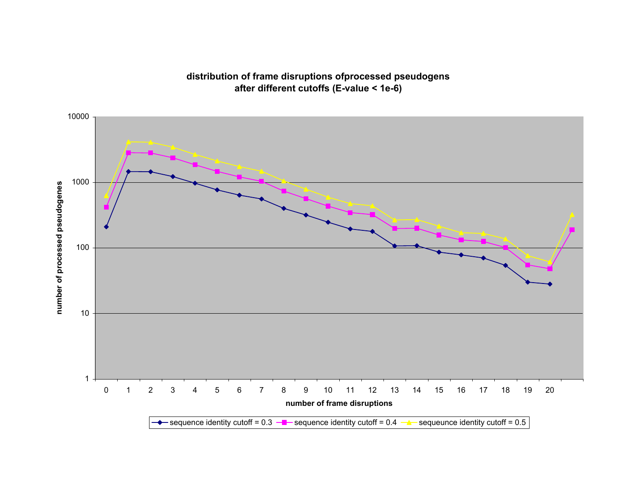### **distribution of frame disruptions ofprocessed pseudogens after different cutoffs (E-value < 1e-6)**

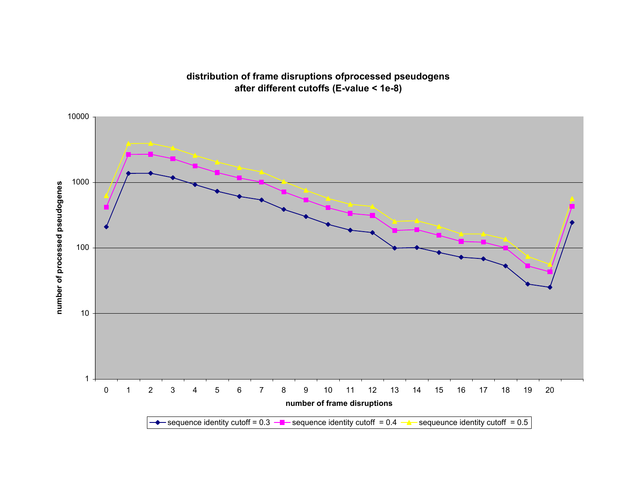### **distribution of frame disruptions ofprocessed pseudogens after different cutoffs (E-value < 1e-8)**

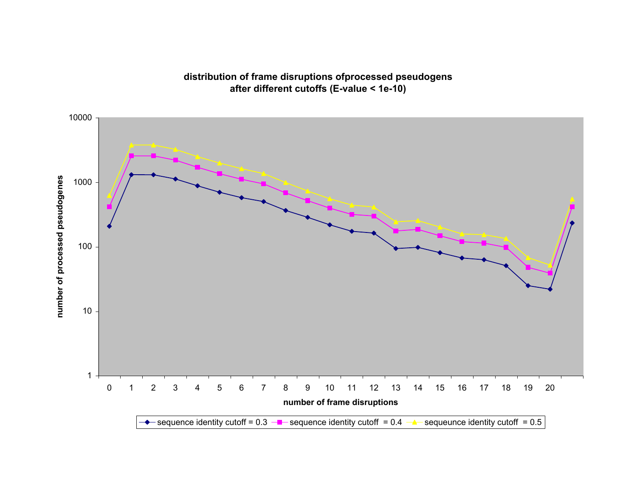### **distribution of frame disruptions ofprocessed pseudogens after different cutoffs (E-value < 1e-10)**

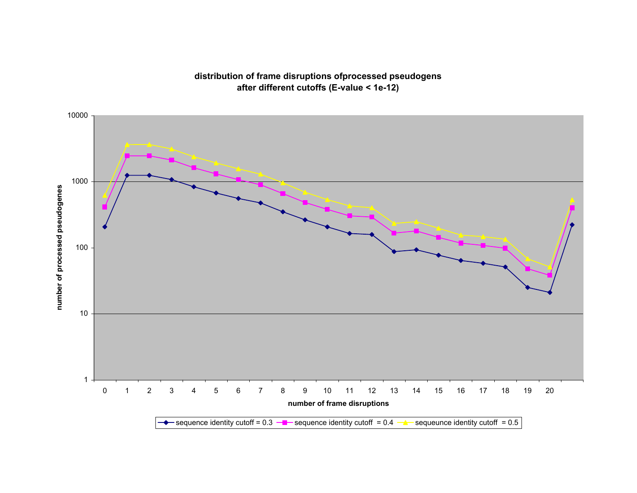#### **distribution of frame disruptions ofprocessed pseudogens after different cutoffs (E-value < 1e-12)**

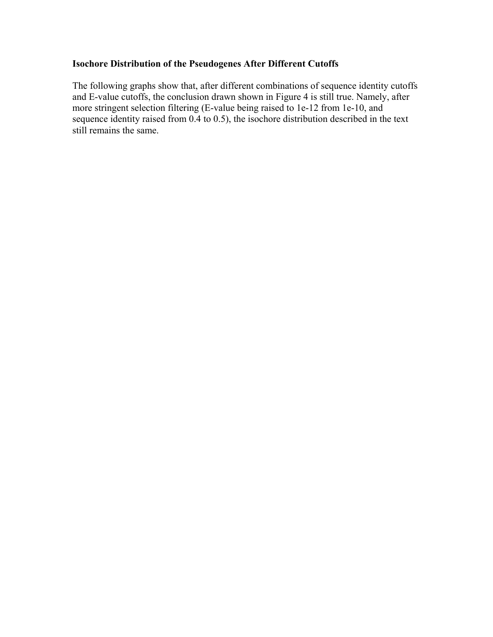#### **Isochore Distribution of the Pseudogenes After Different Cutoffs**

The following graphs show that, after different combinations of sequence identity cutoffs and E-value cutoffs, the conclusion drawn shown in Figure 4 is still true. Namely, after more stringent selection filtering (E-value being raised to 1e-12 from 1e-10, and sequence identity raised from 0.4 to 0.5), the isochore distribution described in the text still remains the same.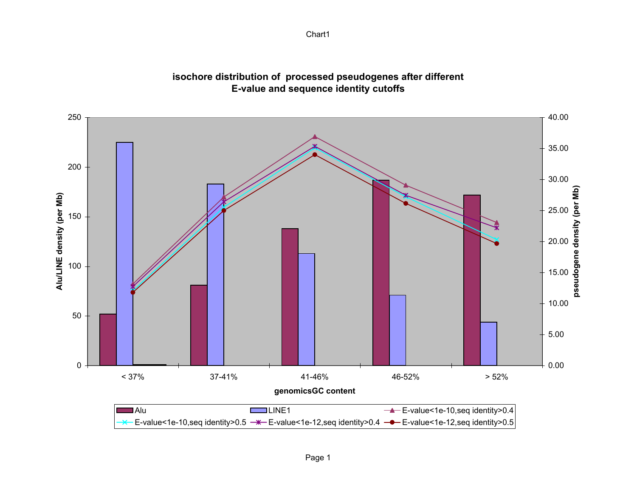

### **isochore distribution of processed pseudogenes after different E-value and sequence identity cutoffs**

Chart1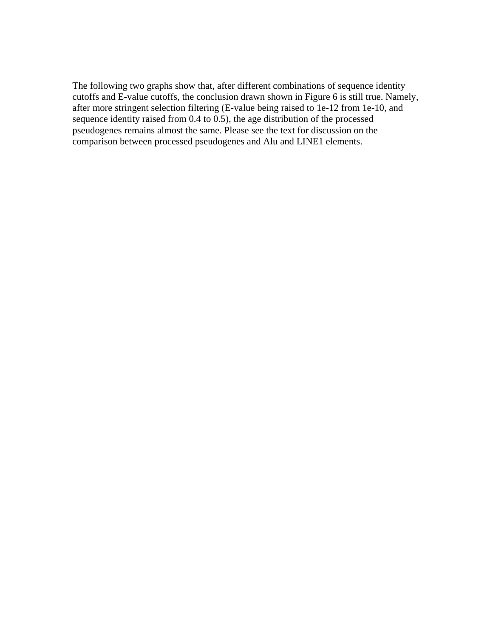#### Distribution of sequence divergence of the Pseudogenes After Different Cutoffs

The following two graphs show that, after different combinations of sequence identity cutoffs and E-value cutoffs, the conclusion drawn shown in Figure 6 is still true. Namely, after more stringent selection filtering (E-value being raised to 1e-12 from 1e-10, and sequence identity raised from 0.4 to 0.5), the age distribution of the processed pseudogenes remains almost the same. Please see the text for discussion on the comparison between processed pseudogenes and Alu and LINE1 elements.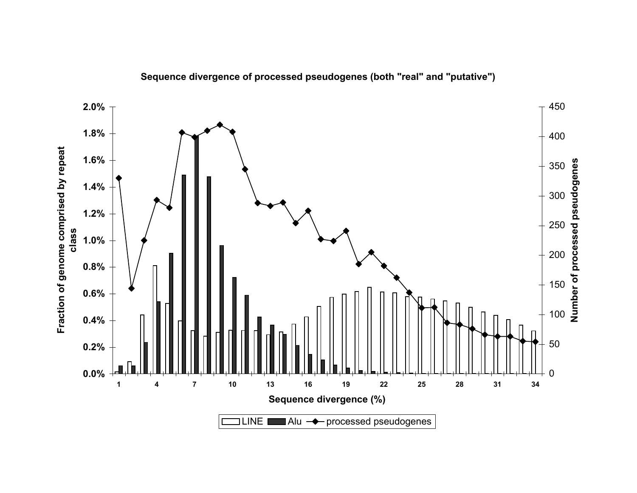